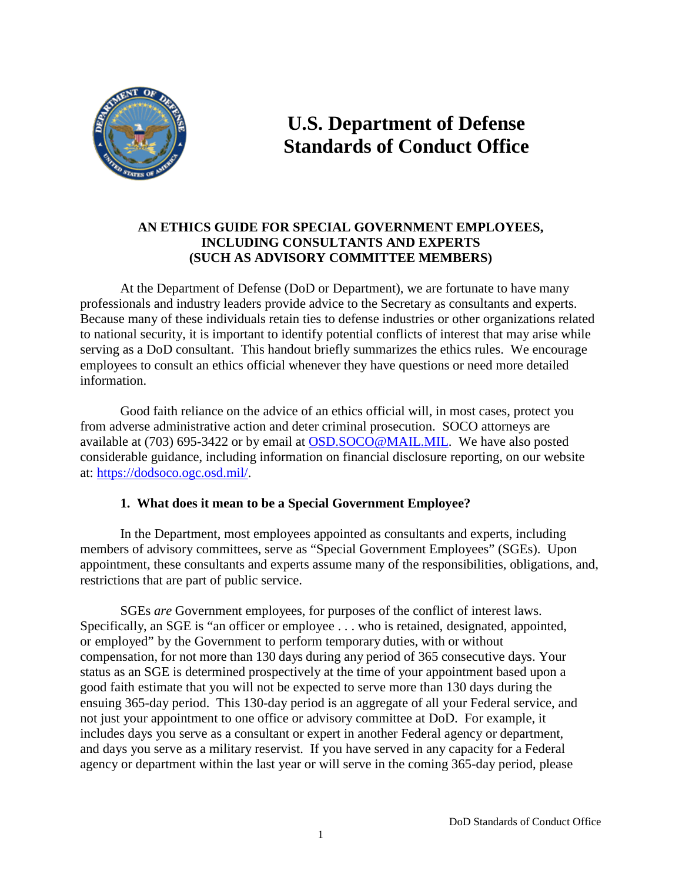

# **U.S. Department of Defense Standards of Conduct Office**

# **AN ETHICS GUIDE FOR SPECIAL GOVERNMENT EMPLOYEES, INCLUDING CONSULTANTS AND EXPERTS (SUCH AS ADVISORY COMMITTEE MEMBERS)**

At the Department of Defense (DoD or Department), we are fortunate to have many professionals and industry leaders provide advice to the Secretary as consultants and experts. Because many of these individuals retain ties to defense industries or other organizations related to national security, it is important to identify potential conflicts of interest that may arise while serving as a DoD consultant. This handout briefly summarizes the ethics rules. We encourage employees to consult an ethics official whenever they have questions or need more detailed information.

Good faith reliance on the advice of an ethics official will, in most cases, protect you from adverse administrative action and deter criminal prosecution. SOCO attorneys are available at (703) 695-3422 or by email at [OSD.SOCO@MAIL.MIL.](mailto:OSD.SOCO@MAIL.MIL) We have also posted considerable guidance, including information on financial disclosure reporting, on our website at: [https://dodsoco.ogc.osd.mil/.](https://dodsoco.ogc.osd.mil/)

## **1. What does it mean to be a Special Government Employee?**

In the Department, most employees appointed as consultants and experts, including members of advisory committees, serve as "Special Government Employees" (SGEs). Upon appointment, these consultants and experts assume many of the responsibilities, obligations, and, restrictions that are part of public service.

SGEs *are* Government employees, for purposes of the conflict of interest laws. Specifically, an SGE is "an officer or employee . . . who is retained, designated, appointed, or employed" by the Government to perform temporary duties, with or without compensation, for not more than 130 days during any period of 365 consecutive days. Your status as an SGE is determined prospectively at the time of your appointment based upon a good faith estimate that you will not be expected to serve more than 130 days during the ensuing 365-day period. This 130-day period is an aggregate of all your Federal service, and not just your appointment to one office or advisory committee at DoD. For example, it includes days you serve as a consultant or expert in another Federal agency or department, and days you serve as a military reservist. If you have served in any capacity for a Federal agency or department within the last year or will serve in the coming 365-day period, please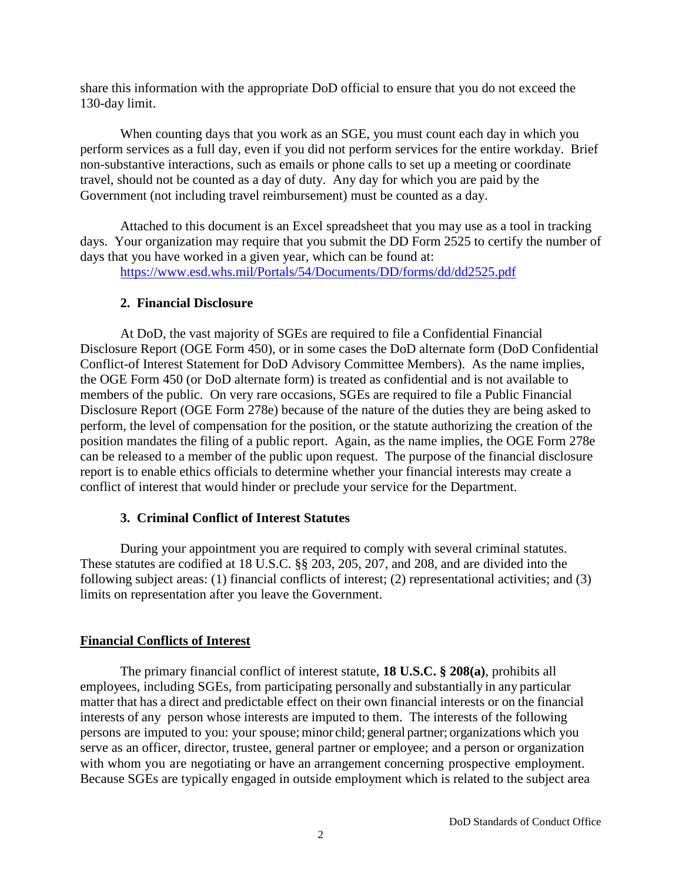share this information with the appropriate DoD official to ensure that you do not exceed the 130-day limit.

When counting days that you work as an SGE, you must count each day in which you perform services as a full day, even if you did not perform services for the entire workday. Brief non-substantive interactions, such as emails or phone calls to set up a meeting or coordinate travel, should not be counted as a day of duty. Any day for which you are paid by the Government (not including travel reimbursement) must be counted as a day.

Attached to this document is an Excel spreadsheet that you may use as a tool in tracking days. Your organization may require that you submit the DD Form 2525 to certify the number of days that you have worked in a given year, which can be found at:

<https://www.esd.whs.mil/Portals/54/Documents/DD/forms/dd/dd2525.pdf>

## **2. Financial Disclosure**

At DoD, the vast majority of SGEs are required to file a Confidential Financial Disclosure Report (OGE Form 450), or in some cases the DoD alternate form (DoD Confidential Conflict-of Interest Statement for DoD Advisory Committee Members). As the name implies, the OGE Form 450 (or DoD alternate form) is treated as confidential and is not available to members of the public. On very rare occasions, SGEs are required to file a Public Financial Disclosure Report (OGE Form 278e) because of the nature of the duties they are being asked to perform, the level of compensation for the position, or the statute authorizing the creation of the position mandates the filing of a public report. Again, as the name implies, the OGE Form 278e can be released to a member of the public upon request. The purpose of the financial disclosure report is to enable ethics officials to determine whether your financial interests may create a conflict of interest that would hinder or preclude your service for the Department.

# **3. Criminal Conflict of Interest Statutes**

During your appointment you are required to comply with several criminal statutes. These statutes are codified at 18 U.S.C. §§ 203, 205, 207, and 208, and are divided into the following subject areas: (1) financial conflicts of interest; (2) representational activities; and (3) limits on representation after you leave the Government.

# **Financial Conflicts of Interest**

The primary financial conflict of interest statute, **18 U.S.C. § 208(a)**, prohibits all employees, including SGEs, from participating personally and substantially in any particular matter that has a direct and predictable effect on their own financial interests or on the financial interests of any person whose interests are imputed to them. The interests of the following persons are imputed to you: your spouse; minor child; general partner; organizations which you serve as an officer, director, trustee, general partner or employee; and a person or organization with whom you are negotiating or have an arrangement concerning prospective employment. Because SGEs are typically engaged in outside employment which is related to the subject area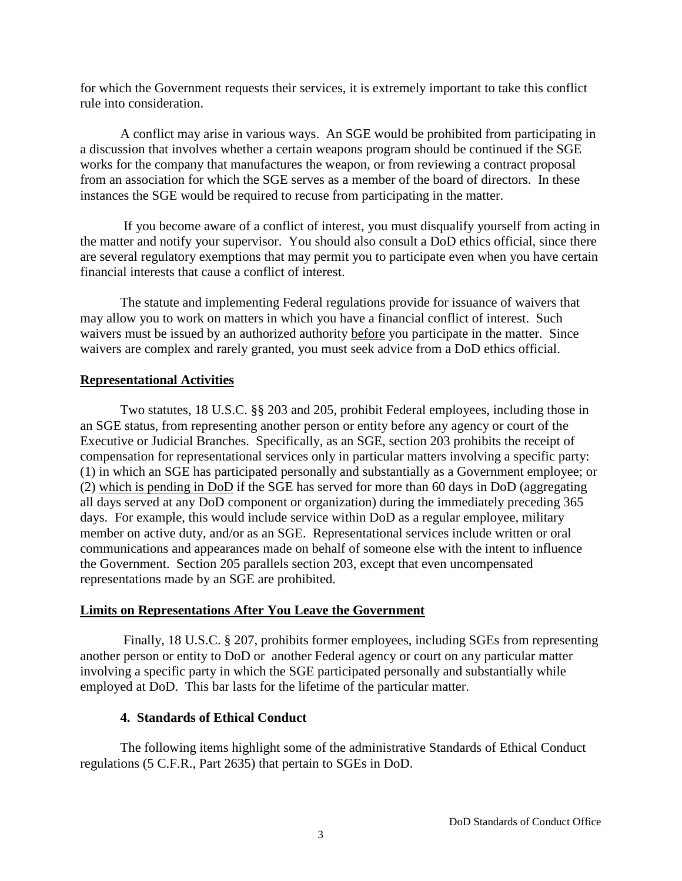for which the Government requests their services, it is extremely important to take this conflict rule into consideration.

A conflict may arise in various ways. An SGE would be prohibited from participating in a discussion that involves whether a certain weapons program should be continued if the SGE works for the company that manufactures the weapon, or from reviewing a contract proposal from an association for which the SGE serves as a member of the board of directors. In these instances the SGE would be required to recuse from participating in the matter.

If you become aware of a conflict of interest, you must disqualify yourself from acting in the matter and notify your supervisor. You should also consult a DoD ethics official, since there are several regulatory exemptions that may permit you to participate even when you have certain financial interests that cause a conflict of interest.

The statute and implementing Federal regulations provide for issuance of waivers that may allow you to work on matters in which you have a financial conflict of interest. Such waivers must be issued by an authorized authority before you participate in the matter. Since waivers are complex and rarely granted, you must seek advice from a DoD ethics official.

## **Representational Activities**

Two statutes, 18 U.S.C. §§ 203 and 205, prohibit Federal employees, including those in an SGE status, from representing another person or entity before any agency or court of the Executive or Judicial Branches. Specifically, as an SGE, section 203 prohibits the receipt of compensation for representational services only in particular matters involving a specific party: (1) in which an SGE has participated personally and substantially as a Government employee; or (2) which is pending in DoD if the SGE has served for more than 60 days in DoD (aggregating all days served at any DoD component or organization) during the immediately preceding 365 days. For example, this would include service within DoD as a regular employee, military member on active duty, and/or as an SGE. Representational services include written or oral communications and appearances made on behalf of someone else with the intent to influence the Government. Section 205 parallels section 203, except that even uncompensated representations made by an SGE are prohibited.

# **Limits on Representations After You Leave the Government**

Finally, 18 U.S.C. § 207, prohibits former employees, including SGEs from representing another person or entity to DoD or another Federal agency or court on any particular matter involving a specific party in which the SGE participated personally and substantially while employed at DoD. This bar lasts for the lifetime of the particular matter.

# **4. Standards of Ethical Conduct**

The following items highlight some of the administrative Standards of Ethical Conduct regulations (5 C.F.R., Part 2635) that pertain to SGEs in DoD.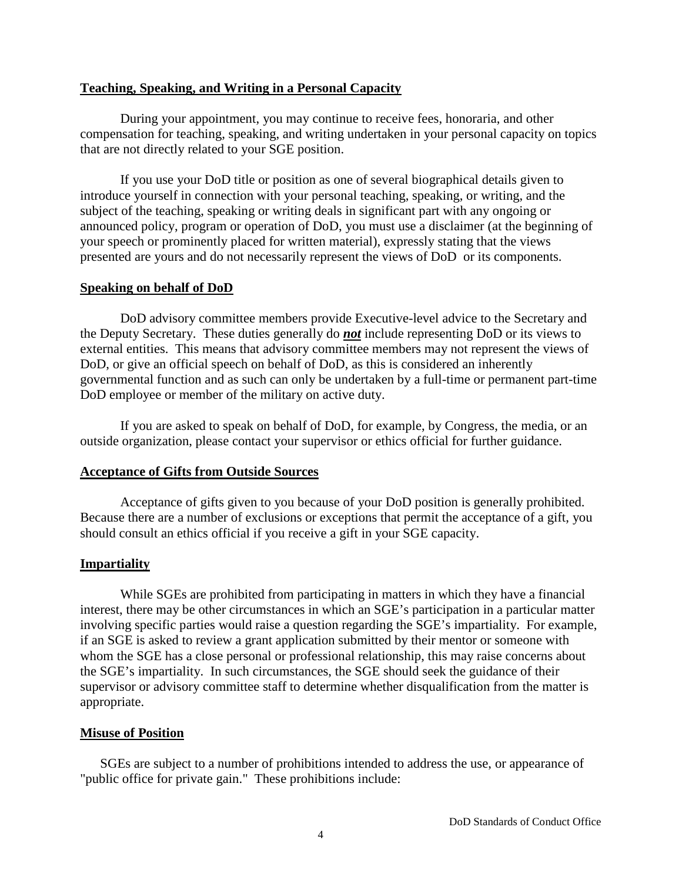#### **Teaching, Speaking, and Writing in a Personal Capacity**

During your appointment, you may continue to receive fees, honoraria, and other compensation for teaching, speaking, and writing undertaken in your personal capacity on topics that are not directly related to your SGE position.

If you use your DoD title or position as one of several biographical details given to introduce yourself in connection with your personal teaching, speaking, or writing, and the subject of the teaching, speaking or writing deals in significant part with any ongoing or announced policy, program or operation of DoD, you must use a disclaimer (at the beginning of your speech or prominently placed for written material), expressly stating that the views presented are yours and do not necessarily represent the views of DoD or its components.

## **Speaking on behalf of DoD**

DoD advisory committee members provide Executive-level advice to the Secretary and the Deputy Secretary. These duties generally do *not* include representing DoD or its views to external entities. This means that advisory committee members may not represent the views of DoD, or give an official speech on behalf of DoD, as this is considered an inherently governmental function and as such can only be undertaken by a full-time or permanent part-time DoD employee or member of the military on active duty.

If you are asked to speak on behalf of DoD, for example, by Congress, the media, or an outside organization, please contact your supervisor or ethics official for further guidance.

## **Acceptance of Gifts from Outside Sources**

Acceptance of gifts given to you because of your DoD position is generally prohibited. Because there are a number of exclusions or exceptions that permit the acceptance of a gift, you should consult an ethics official if you receive a gift in your SGE capacity.

# **Impartiality**

While SGEs are prohibited from participating in matters in which they have a financial interest, there may be other circumstances in which an SGE's participation in a particular matter involving specific parties would raise a question regarding the SGE's impartiality. For example, if an SGE is asked to review a grant application submitted by their mentor or someone with whom the SGE has a close personal or professional relationship, this may raise concerns about the SGE's impartiality. In such circumstances, the SGE should seek the guidance of their supervisor or advisory committee staff to determine whether disqualification from the matter is appropriate.

## **Misuse of Position**

SGEs are subject to a number of prohibitions intended to address the use, or appearance of "public office for private gain." These prohibitions include: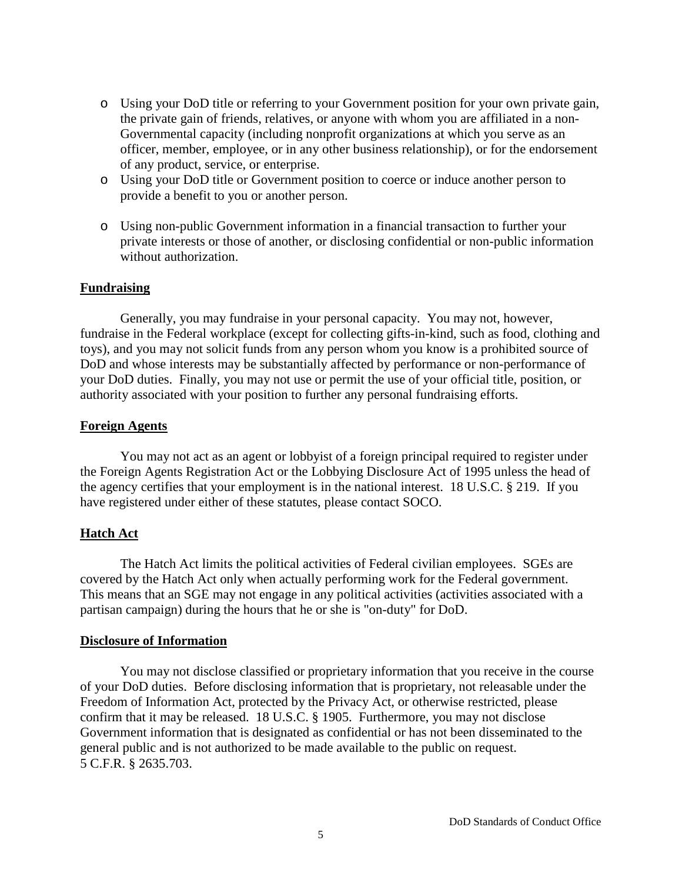- o Using your DoD title or referring to your Government position for your own private gain, the private gain of friends, relatives, or anyone with whom you are affiliated in a non-Governmental capacity (including nonprofit organizations at which you serve as an officer, member, employee, or in any other business relationship), or for the endorsement of any product, service, or enterprise.
- o Using your DoD title or Government position to coerce or induce another person to provide a benefit to you or another person.
- o Using non-public Government information in a financial transaction to further your private interests or those of another, or disclosing confidential or non-public information without authorization.

#### **Fundraising**

Generally, you may fundraise in your personal capacity. You may not, however, fundraise in the Federal workplace (except for collecting gifts-in-kind, such as food, clothing and toys), and you may not solicit funds from any person whom you know is a prohibited source of DoD and whose interests may be substantially affected by performance or non-performance of your DoD duties. Finally, you may not use or permit the use of your official title, position, or authority associated with your position to further any personal fundraising efforts.

#### **Foreign Agents**

You may not act as an agent or lobbyist of a foreign principal required to register under the Foreign Agents Registration Act or the Lobbying Disclosure Act of 1995 unless the head of the agency certifies that your employment is in the national interest. 18 U.S.C. § 219. If you have registered under either of these statutes, please contact SOCO.

#### **Hatch Act**

The Hatch Act limits the political activities of Federal civilian employees. SGEs are covered by the Hatch Act only when actually performing work for the Federal government. This means that an SGE may not engage in any political activities (activities associated with a partisan campaign) during the hours that he or she is "on-duty" for DoD.

#### **Disclosure of Information**

You may not disclose classified or proprietary information that you receive in the course of your DoD duties. Before disclosing information that is proprietary, not releasable under the Freedom of Information Act, protected by the Privacy Act, or otherwise restricted, please confirm that it may be released. 18 U.S.C. § 1905. Furthermore, you may not disclose Government information that is designated as confidential or has not been disseminated to the general public and is not authorized to be made available to the public on request. 5 C.F.R. § 2635.703.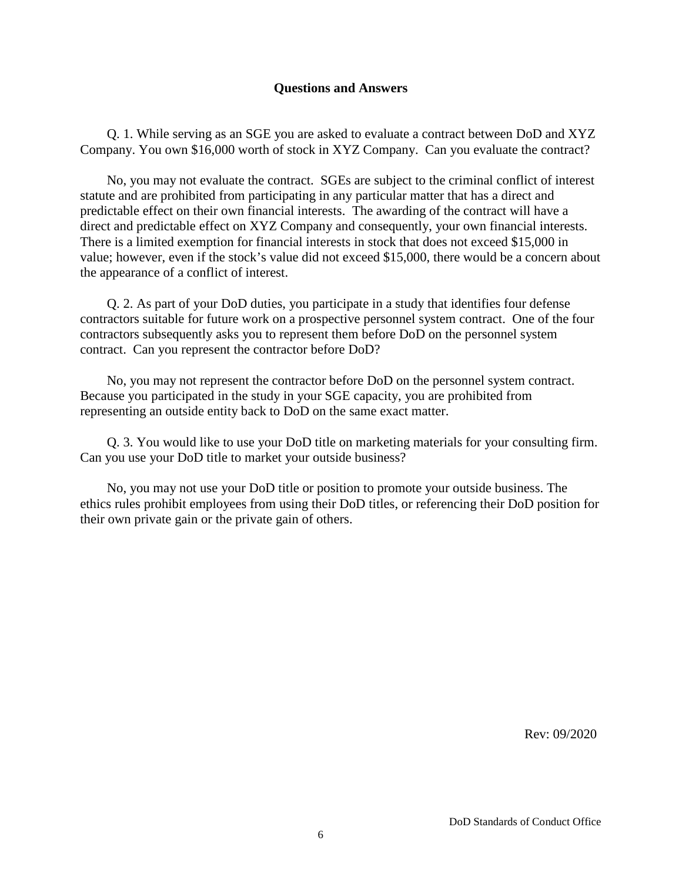#### **Questions and Answers**

Q. 1. While serving as an SGE you are asked to evaluate a contract between DoD and XYZ Company. You own \$16,000 worth of stock in XYZ Company. Can you evaluate the contract?

No, you may not evaluate the contract. SGEs are subject to the criminal conflict of interest statute and are prohibited from participating in any particular matter that has a direct and predictable effect on their own financial interests. The awarding of the contract will have a direct and predictable effect on XYZ Company and consequently, your own financial interests. There is a limited exemption for financial interests in stock that does not exceed \$15,000 in value; however, even if the stock's value did not exceed \$15,000, there would be a concern about the appearance of a conflict of interest.

Q. 2. As part of your DoD duties, you participate in a study that identifies four defense contractors suitable for future work on a prospective personnel system contract. One of the four contractors subsequently asks you to represent them before DoD on the personnel system contract. Can you represent the contractor before DoD?

No, you may not represent the contractor before DoD on the personnel system contract. Because you participated in the study in your SGE capacity, you are prohibited from representing an outside entity back to DoD on the same exact matter.

Q. 3. You would like to use your DoD title on marketing materials for your consulting firm. Can you use your DoD title to market your outside business?

No, you may not use your DoD title or position to promote your outside business. The ethics rules prohibit employees from using their DoD titles, or referencing their DoD position for their own private gain or the private gain of others.

Rev: 09/2020